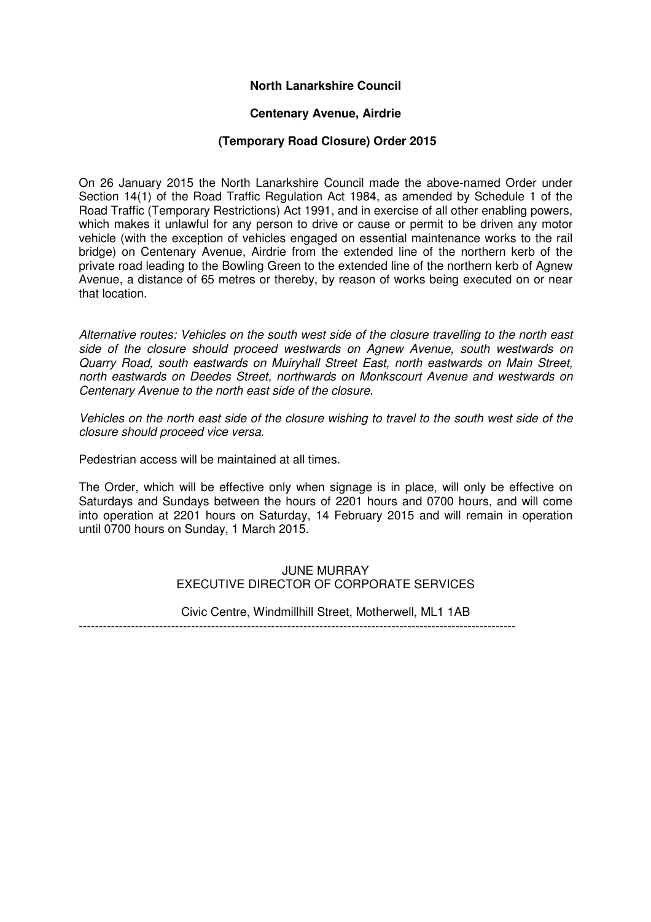# **North Lanarkshire Council**

## **Centenary Avenue, Airdrie**

## **(Temporary Road Closure) Order 2015**

On 26 January 2015 the North Lanarkshire Council made the above-named Order under Section 14(1) of the Road Traffic Regulation Act 1984, as amended by Schedule 1 of the Road Traffic (Temporary Restrictions) Act 1991, and in exercise of all other enabling powers, which makes it unlawful for any person to drive or cause or permit to be driven any motor vehicle (with the exception of vehicles engaged on essential maintenance works to the rail bridge) on Centenary Avenue, Airdrie from the extended line of the northern kerb of the private road leading to the Bowling Green to the extended line of the northern kerb of Agnew Avenue, a distance of 65 metres or thereby, by reason of works being executed on or near that location.

Alternative routes: Vehicles on the south west side of the closure travelling to the north east side of the closure should proceed westwards on Agnew Avenue, south westwards on Quarry Road, south eastwards on Muiryhall Street East, north eastwards on Main Street, north eastwards on Deedes Street, northwards on Monkscourt Avenue and westwards on Centenary Avenue to the north east side of the closure.

Vehicles on the north east side of the closure wishing to travel to the south west side of the closure should proceed vice versa.

Pedestrian access will be maintained at all times.

The Order, which will be effective only when signage is in place, will only be effective on Saturdays and Sundays between the hours of 2201 hours and 0700 hours, and will come into operation at 2201 hours on Saturday, 14 February 2015 and will remain in operation until 0700 hours on Sunday, 1 March 2015.

#### JUNE MURRAY EXECUTIVE DIRECTOR OF CORPORATE SERVICES

Civic Centre, Windmillhill Street, Motherwell, ML1 1AB

-------------------------------------------------------------------------------------------------------------